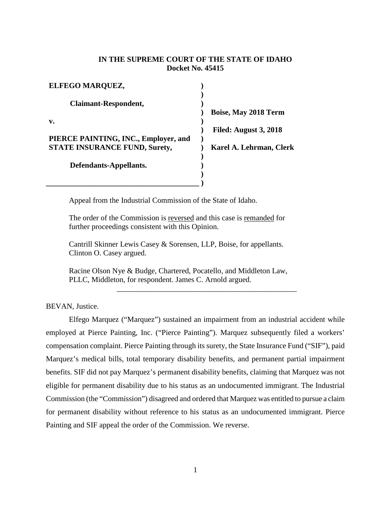## **IN THE SUPREME COURT OF THE STATE OF IDAHO Docket No. 45415**

**Clerk** 

| ELFEGO MARQUEZ,                      |                              |
|--------------------------------------|------------------------------|
| <b>Claimant-Respondent,</b>          |                              |
|                                      | <b>Boise, May 2018 Term</b>  |
| $\mathbf{v}$ .                       |                              |
|                                      | <b>Filed: August 3, 2018</b> |
| PIERCE PAINTING, INC., Employer, and |                              |
| <b>STATE INSURANCE FUND, Surety,</b> | Karel A. Lehrman, Cle        |
|                                      |                              |
| Defendants-Appellants.               |                              |
|                                      |                              |

Appeal from the Industrial Commission of the State of Idaho.

**\_\_\_\_\_\_\_\_\_\_\_\_\_\_\_\_\_\_\_\_\_\_\_\_\_\_\_\_\_\_\_\_\_\_\_\_\_\_\_\_ )**

The order of the Commission is reversed and this case is remanded for further proceedings consistent with this Opinion.

Cantrill Skinner Lewis Casey & Sorensen, LLP, Boise, for appellants. Clinton O. Casey argued.

Racine Olson Nye & Budge, Chartered, Pocatello, and Middleton Law, PLLC, Middleton, for respondent. James C. Arnold argued.

BEVAN, Justice.

Elfego Marquez ("Marquez") sustained an impairment from an industrial accident while employed at Pierce Painting, Inc. ("Pierce Painting"). Marquez subsequently filed a workers' compensation complaint. Pierce Painting through its surety, the State Insurance Fund ("SIF"), paid Marquez's medical bills, total temporary disability benefits, and permanent partial impairment benefits. SIF did not pay Marquez's permanent disability benefits, claiming that Marquez was not eligible for permanent disability due to his status as an undocumented immigrant. The Industrial Commission (the "Commission") disagreed and ordered that Marquez was entitled to pursue a claim for permanent disability without reference to his status as an undocumented immigrant. Pierce Painting and SIF appeal the order of the Commission. We reverse.

\_\_\_\_\_\_\_\_\_\_\_\_\_\_\_\_\_\_\_\_\_\_\_\_\_\_\_\_\_\_\_\_\_\_\_\_\_\_\_\_\_\_\_\_\_\_\_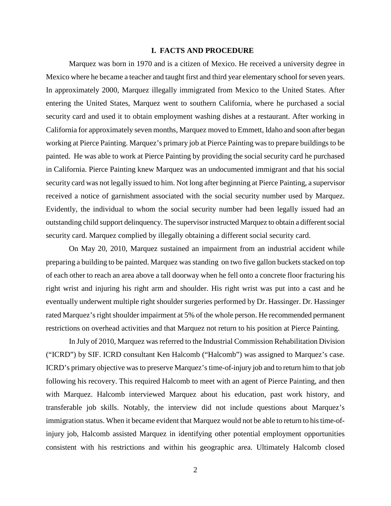### **I. FACTS AND PROCEDURE**

Marquez was born in 1970 and is a citizen of Mexico. He received a university degree in Mexico where he became a teacher and taught first and third year elementary school for seven years. In approximately 2000, Marquez illegally immigrated from Mexico to the United States. After entering the United States, Marquez went to southern California, where he purchased a social security card and used it to obtain employment washing dishes at a restaurant. After working in California for approximately seven months, Marquez moved to Emmett, Idaho and soon after began working at Pierce Painting. Marquez's primary job at Pierce Painting was to prepare buildings to be painted. He was able to work at Pierce Painting by providing the social security card he purchased in California. Pierce Painting knew Marquez was an undocumented immigrant and that his social security card was not legally issued to him. Not long after beginning at Pierce Painting, a supervisor received a notice of garnishment associated with the social security number used by Marquez. Evidently, the individual to whom the social security number had been legally issued had an outstanding child support delinquency. The supervisor instructed Marquez to obtain a different social security card. Marquez complied by illegally obtaining a different social security card.

On May 20, 2010, Marquez sustained an impairment from an industrial accident while preparing a building to be painted. Marquez was standing on two five gallon buckets stacked on top of each other to reach an area above a tall doorway when he fell onto a concrete floor fracturing his right wrist and injuring his right arm and shoulder. His right wrist was put into a cast and he eventually underwent multiple right shoulder surgeries performed by Dr. Hassinger. Dr. Hassinger rated Marquez's right shoulder impairment at 5% of the whole person. He recommended permanent restrictions on overhead activities and that Marquez not return to his position at Pierce Painting.

In July of 2010, Marquez was referred to the Industrial Commission Rehabilitation Division ("ICRD") by SIF. ICRD consultant Ken Halcomb ("Halcomb") was assigned to Marquez's case. ICRD's primary objective wasto preserve Marquez's time-of-injury job and to return him to that job following his recovery. This required Halcomb to meet with an agent of Pierce Painting, and then with Marquez. Halcomb interviewed Marquez about his education, past work history, and transferable job skills. Notably, the interview did not include questions about Marquez's immigration status. When it became evident that Marquez would not be able to return to his time-ofinjury job, Halcomb assisted Marquez in identifying other potential employment opportunities consistent with his restrictions and within his geographic area. Ultimately Halcomb closed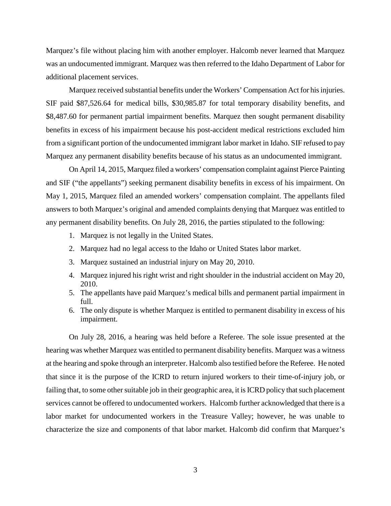Marquez's file without placing him with another employer. Halcomb never learned that Marquez was an undocumented immigrant. Marquez was then referred to the Idaho Department of Labor for additional placement services.

Marquez received substantial benefits under the Workers' Compensation Act for his injuries. SIF paid \$87,526.64 for medical bills, \$30,985.87 for total temporary disability benefits, and \$8,487.60 for permanent partial impairment benefits. Marquez then sought permanent disability benefits in excess of his impairment because his post-accident medical restrictions excluded him from a significant portion of the undocumented immigrant labor market in Idaho. SIF refused to pay Marquez any permanent disability benefits because of his status as an undocumented immigrant.

On April 14, 2015, Marquez filed a workers' compensation complaint against Pierce Painting and SIF ("the appellants") seeking permanent disability benefits in excess of his impairment. On May 1, 2015, Marquez filed an amended workers' compensation complaint. The appellants filed answers to both Marquez's original and amended complaints denying that Marquez was entitled to any permanent disability benefits. On July 28, 2016, the parties stipulated to the following:

- 1. Marquez is not legally in the United States.
- 2. Marquez had no legal access to the Idaho or United States labor market.
- 3. Marquez sustained an industrial injury on May 20, 2010.
- 4. Marquez injured his right wrist and right shoulder in the industrial accident on May 20, 2010.
- 5. The appellants have paid Marquez's medical bills and permanent partial impairment in full.
- 6. The only dispute is whether Marquez is entitled to permanent disability in excess of his impairment.

On July 28, 2016, a hearing was held before a Referee. The sole issue presented at the hearing was whether Marquez was entitled to permanent disability benefits. Marquez was a witness at the hearing and spoke through an interpreter. Halcomb also testified before the Referee. He noted that since it is the purpose of the ICRD to return injured workers to their time-of-injury job, or failing that, to some other suitable job in their geographic area, it is ICRD policy that such placement services cannot be offered to undocumented workers. Halcomb further acknowledged that there is a labor market for undocumented workers in the Treasure Valley; however, he was unable to characterize the size and components of that labor market. Halcomb did confirm that Marquez's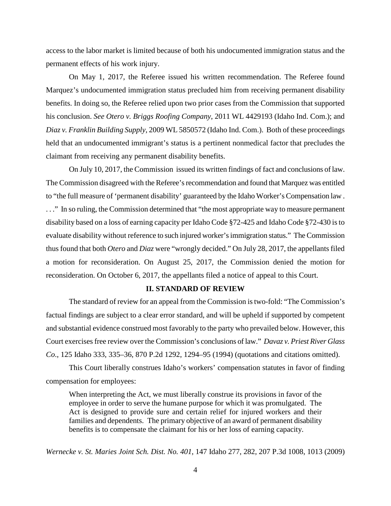access to the labor market is limited because of both his undocumented immigration status and the permanent effects of his work injury.

On May 1, 2017, the Referee issued his written recommendation. The Referee found Marquez's undocumented immigration status precluded him from receiving permanent disability benefits. In doing so, the Referee relied upon two prior cases from the Commission that supported his conclusion. *See Otero v. Briggs Roofing Company*, 2011 WL 4429193 (Idaho Ind. Com.); and *Diaz v. Franklin Building Supply*, 2009 WL 5850572 (Idaho Ind. Com.). Both of these proceedings held that an undocumented immigrant's status is a pertinent nonmedical factor that precludes the claimant from receiving any permanent disability benefits.

On July 10, 2017, the Commission issued its written findings of fact and conclusions of law. The Commission disagreed with the Referee's recommendation and found that Marquez was entitled to "the full measure of 'permanent disability' guaranteed by the Idaho Worker's Compensation law . . . ." In so ruling, the Commission determined that "the most appropriate way to measure permanent disability based on a loss of earning capacity per Idaho Code §72-425 and Idaho Code §72-430 is to evaluate disability without reference to such injured worker's immigration status." TheCommission thus found that both *Otero* and *Diaz* were "wrongly decided." On July 28, 2017, the appellants filed a motion for reconsideration. On August 25, 2017, the Commission denied the motion for reconsideration. On October 6, 2017, the appellants filed a notice of appeal to this Court.

## **II. STANDARD OF REVIEW**

The standard of review for an appeal from the Commission is two-fold: "The Commission's factual findings are subject to a clear error standard, and will be upheld if supported by competent and substantial evidence construed most favorably to the party who prevailed below. However, this Court exercises free review over the Commission's conclusions of law." *Davaz v. Priest River Glass Co*., 125 Idaho 333, 335–36, 870 P.2d 1292, 1294–95 (1994) (quotations and citations omitted).

This Court liberally construes Idaho's workers' compensation statutes in favor of finding compensation for employees:

When interpreting the Act, we must liberally construe its provisions in favor of the employee in order to serve the humane purpose for which it was promulgated. The Act is designed to provide sure and certain relief for injured workers and their families and dependents. The primary objective of an award of permanent disability benefits is to compensate the claimant for his or her loss of earning capacity.

*Wernecke v. St. Maries Joint Sch. Dist. No. 401*, 147 Idaho 277, 282, 207 P.3d 1008, 1013 (2009)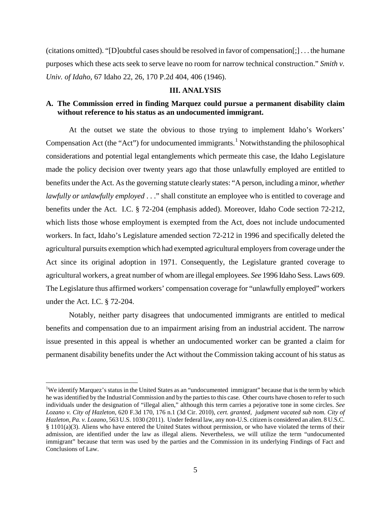(citations omitted). "[D]oubtful cases should be resolved in favor of compensation[;] . . . the humane purposes which these acts seek to serve leave no room for narrow technical construction." *Smith v. Univ. of Idaho*, 67 Idaho 22, 26, 170 P.2d 404, 406 (1946).

#### **III. ANALYSIS**

# **A. The Commission erred in finding Marquez could pursue a permanent disability claim without reference to his status as an undocumented immigrant.**

At the outset we state the obvious to those trying to implement Idaho's Workers' Compensation Act (the "Act") for undocumented immigrants.<sup>[1](#page-4-0)</sup> Notwithstanding the philosophical considerations and potential legal entanglements which permeate this case, the Idaho Legislature made the policy decision over twenty years ago that those unlawfully employed are entitled to benefits under the Act. As the governing statute clearly states: "A person, including a minor, *whether lawfully or unlawfully employed* . . ." shall constitute an employee who is entitled to coverage and benefits under the Act. I.C. § 72-204 (emphasis added). Moreover, Idaho Code section 72-212, which lists those whose employment is exempted from the Act, does not include undocumented workers. In fact, Idaho's Legislature amended section 72-212 in 1996 and specifically deleted the agricultural pursuits exemption which had exempted agricultural employers from coverage under the Act since its original adoption in 1971. Consequently, the Legislature granted coverage to agricultural workers, a great number of whom are illegal employees. *See* 1996 Idaho Sess. Laws 609. The Legislature thus affirmed workers' compensation coverage for "unlawfully employed" workers under the Act. I.C. § 72-204.

Notably, neither party disagrees that undocumented immigrants are entitled to medical benefits and compensation due to an impairment arising from an industrial accident. The narrow issue presented in this appeal is whether an undocumented worker can be granted a claim for permanent disability benefits under the Act without the Commission taking account of his status as

<span id="page-4-0"></span> $\frac{1}{1}$ <sup>1</sup>We identify Marquez's status in the United States as an "undocumented immigrant" because that is the term by which he was identified by the Industrial Commission and by the parties to this case. Other courts have chosen to refer to such individuals under the designation of "illegal alien," although this term carries a pejorative tone in some circles. *See Lozano v. City of Hazleton*, 620 F.3d 170, 176 n.1 (3d Cir. 2010), *cert. granted, judgment vacated sub nom. City of Hazleton, Pa. v. Lozano*, 563 U.S. 1030 (2011). Under federal law, any non-U.S. citizen is considered an alien. 8 U.S.C. § 1101(a)(3). Aliens who have entered the United States without permission, or who have violated the terms of their admission, are identified under the law as illegal aliens. Nevertheless, we will utilize the term "undocumented immigrant" because that term was used by the parties and the Commission in its underlying Findings of Fact and Conclusions of Law.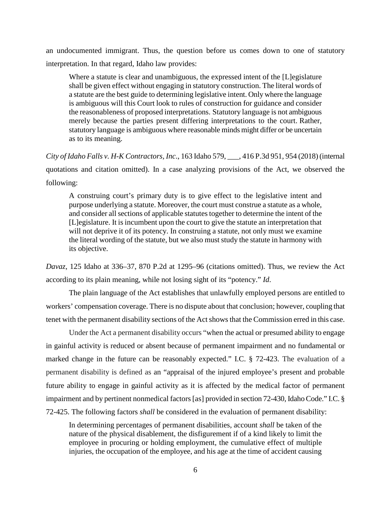an undocumented immigrant. Thus, the question before us comes down to one of statutory interpretation. In that regard, Idaho law provides:

Where a statute is clear and unambiguous, the expressed intent of the [L]egislature shall be given effect without engaging in statutory construction. The literal words of a statute are the best guide to determining legislative intent. Only where the language is ambiguous will this Court look to rules of construction for guidance and consider the reasonableness of proposed interpretations. Statutory language is not ambiguous merely because the parties present differing interpretations to the court. Rather, statutory language is ambiguous where reasonable minds might differ or be uncertain as to its meaning.

*City of Idaho Falls v. H-K Contractors, Inc*., 163 Idaho 579, \_\_\_, 416 P.3d 951, 954 (2018) (internal quotations and citation omitted). In a case analyzing provisions of the Act, we observed the following:

A construing court's primary duty is to give effect to the legislative intent and purpose underlying a statute. Moreover, the court must construe a statute as a whole, and consider all sections of applicable statutes together to determine the intent of the [L]egislature. It is incumbent upon the court to give the statute an interpretation that will not deprive it of its potency. In construing a statute, not only must we examine the literal wording of the statute, but we also must study the statute in harmony with its objective.

*Davaz*, 125 Idaho at 336–37, 870 P.2d at 1295–96 (citations omitted). Thus, we review the Act according to its plain meaning, while not losing sight of its "potency." *Id*.

The plain language of the Act establishes that unlawfully employed persons are entitled to workers' compensation coverage. There is no dispute about that conclusion; however, coupling that tenet with the permanent disability sections of the Act shows that the Commission erred in this case.

Under the Act a permanent disability occurs "when the actual or presumed ability to engage in gainful activity is reduced or absent because of permanent impairment and no fundamental or marked change in the future can be reasonably expected." I.C. § 72-423. The evaluation of a permanent disability is defined as an "appraisal of the injured employee's present and probable future ability to engage in gainful activity as it is affected by the medical factor of permanent impairment and by pertinent nonmedical factors [as] provided in section 72-430, Idaho Code." I.C. § 72-425. The following factors *shall* be considered in the evaluation of permanent disability:

In determining percentages of permanent disabilities, account *shall* be taken of the nature of the physical disablement, the disfigurement if of a kind likely to limit the employee in procuring or holding employment, the cumulative effect of multiple injuries, the occupation of the employee, and his age at the time of accident causing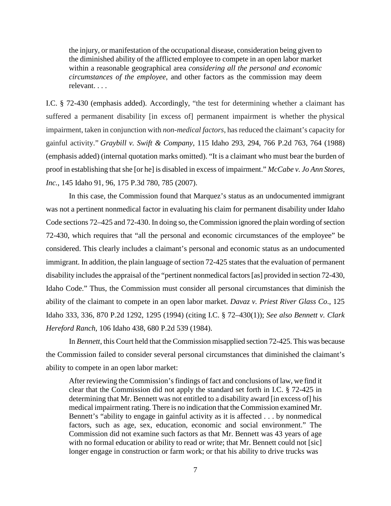the injury, or manifestation of the occupational disease, consideration being given to the diminished ability of the afflicted employee to compete in an open labor market within a reasonable geographical area *considering all the personal and economic circumstances of the employee*, and other factors as the commission may deem relevant. . . .

I.C. § 72-430 (emphasis added). Accordingly, "the test for determining whether a claimant has suffered a permanent disability [in excess of] permanent impairment is whether the physical impairment, taken in conjunction with *non-medical factors*, has reduced the claimant's capacity for gainful activity." *Graybill v. Swift & Company*, 115 Idaho 293, 294, 766 P.2d 763, 764 (1988) (emphasis added) (internal quotation marks omitted). "It is a claimant who must bear the burden of proof in establishing that she [or he] is disabled in excess of impairment." *McCabe v. Jo Ann Stores, Inc.*, 145 Idaho 91, 96, 175 P.3d 780, 785 (2007).

In this case, the Commission found that Marquez's status as an undocumented immigrant was not a pertinent nonmedical factor in evaluating his claim for permanent disability under Idaho Code sections 72–425 and 72-430. In doing so, the Commission ignored the plain wording of section 72-430, which requires that "all the personal and economic circumstances of the employee" be considered. This clearly includes a claimant's personal and economic status as an undocumented immigrant. In addition, the plain language of section 72-425 states that the evaluation of permanent disability includes the appraisal of the "pertinent nonmedical factors [as] provided in section 72-430, Idaho Code." Thus, the Commission must consider all personal circumstances that diminish the ability of the claimant to compete in an open labor market. *Davaz v. Priest River Glass Co*., 125 Idaho 333, 336, 870 P.2d 1292, 1295 (1994) (citing I.C. § 72–430(1)); *See also Bennett v. Clark Hereford Ranch*, 106 Idaho 438, 680 P.2d 539 (1984).

In *Bennett*, this Court held that the Commission misapplied section 72-425. This was because the Commission failed to consider several personal circumstances that diminished the claimant's ability to compete in an open labor market:

After reviewing the Commission's findings of fact and conclusions of law, we find it clear that the Commission did not apply the standard set forth in I.C. § 72-425 in determining that Mr. Bennett was not entitled to a disability award [in excess of] his medical impairment rating. There is no indication that the Commission examined Mr. Bennett's "ability to engage in gainful activity as it is affected . . . by nonmedical factors, such as age, sex, education, economic and social environment." The Commission did not examine such factors as that Mr. Bennett was 43 years of age with no formal education or ability to read or write; that Mr. Bennett could not [sic] longer engage in construction or farm work; or that his ability to drive trucks was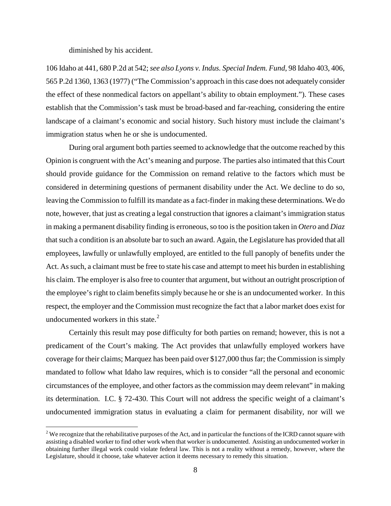diminished by his accident.

106 Idaho at 441, 680 P.2d at 542; *see also Lyons v. Indus. Special Indem. Fund*, 98 Idaho 403, 406, 565 P.2d 1360, 1363 (1977) ("The Commission's approach in this case does not adequately consider the effect of these nonmedical factors on appellant's ability to obtain employment."). These cases establish that the Commission's task must be broad-based and far-reaching, considering the entire landscape of a claimant's economic and social history. Such history must include the claimant's immigration status when he or she is undocumented.

During oral argument both parties seemed to acknowledge that the outcome reached by this Opinion is congruent with the Act's meaning and purpose. The parties also intimated that this Court should provide guidance for the Commission on remand relative to the factors which must be considered in determining questions of permanent disability under the Act. We decline to do so, leaving the Commission to fulfill its mandate as a fact-finder in making these determinations. We do note, however, that just as creating a legal construction that ignores a claimant's immigration status in making a permanent disability finding is erroneous, so too is the position taken in *Otero* and *Diaz* that such a condition is an absolute bar to such an award. Again, the Legislature has provided that all employees, lawfully or unlawfully employed, are entitled to the full panoply of benefits under the Act. As such, a claimant must be free to state his case and attempt to meet his burden in establishing his claim. The employer is also free to counter that argument, but without an outright proscription of the employee's right to claim benefits simply because he or she is an undocumented worker. In this respect, the employer and the Commission must recognize the fact that a labor market does exist for undocumented workers in this state. $2$ 

Certainly this result may pose difficulty for both parties on remand; however, this is not a predicament of the Court's making. The Act provides that unlawfully employed workers have coverage for their claims; Marquez has been paid over \$127,000 thus far; the Commission is simply mandated to follow what Idaho law requires, which is to consider "all the personal and economic circumstances of the employee, and other factors as the commission may deem relevant" in making its determination. I.C. § 72-430. This Court will not address the specific weight of a claimant's undocumented immigration status in evaluating a claim for permanent disability, nor will we

<span id="page-7-0"></span><sup>&</sup>lt;sup>2</sup> We recognize that the rehabilitative purposes of the Act, and in particular the functions of the ICRD cannot square with assisting a disabled worker to find other work when that worker is undocumented. Assisting an undocumented worker in obtaining further illegal work could violate federal law. This is not a reality without a remedy, however, where the Legislature, should it choose, take whatever action it deems necessary to remedy this situation.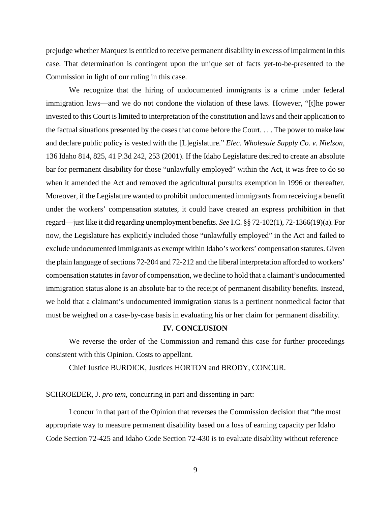prejudge whether Marquez is entitled to receive permanent disability in excess of impairment in this case. That determination is contingent upon the unique set of facts yet-to-be-presented to the Commission in light of our ruling in this case.

We recognize that the hiring of undocumented immigrants is a crime under federal immigration laws—and we do not condone the violation of these laws. However, "[t]he power invested to this Court is limited to interpretation of the constitution and laws and their application to the factual situations presented by the cases that come before the Court. . . . The power to make law and declare public policy is vested with the [L]egislature." *Elec. Wholesale Supply Co. v. Nielson*, 136 Idaho 814, 825, 41 P.3d 242, 253 (2001). If the Idaho Legislature desired to create an absolute bar for permanent disability for those "unlawfully employed" within the Act, it was free to do so when it amended the Act and removed the agricultural pursuits exemption in 1996 or thereafter. Moreover, if the Legislature wanted to prohibit undocumented immigrants from receiving a benefit under the workers' compensation statutes, it could have created an express prohibition in that regard—just like it did regarding unemployment benefits. *See* I.C. §§ 72-102(1), 72-1366(19)(a). For now, the Legislature has explicitly included those "unlawfully employed" in the Act and failed to exclude undocumented immigrants as exempt within Idaho's workers' compensation statutes. Given the plain language of sections 72-204 and 72-212 and the liberal interpretation afforded to workers' compensation statutes in favor of compensation, we decline to hold that a claimant's undocumented immigration status alone is an absolute bar to the receipt of permanent disability benefits. Instead, we hold that a claimant's undocumented immigration status is a pertinent nonmedical factor that must be weighed on a case-by-case basis in evaluating his or her claim for permanent disability.

### **IV. CONCLUSION**

We reverse the order of the Commission and remand this case for further proceedings consistent with this Opinion. Costs to appellant.

Chief Justice BURDICK, Justices HORTON and BRODY, CONCUR.

SCHROEDER, J. *pro tem*, concurring in part and dissenting in part:

I concur in that part of the Opinion that reverses the Commission decision that "the most appropriate way to measure permanent disability based on a loss of earning capacity per Idaho Code Section 72-425 and Idaho Code Section 72-430 is to evaluate disability without reference